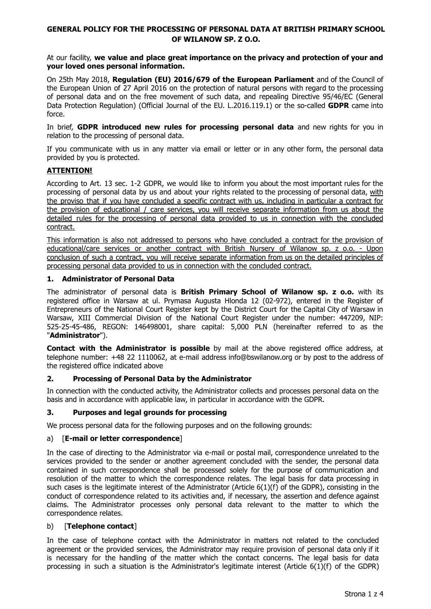### **GENERAL POLICY FOR THE PROCESSING OF PERSONAL DATA AT BRITISH PRIMARY SCHOOL OF WILANOW SP. Z O.O.**

At our facility, **we value and place great importance on the privacy and protection of your and your loved ones personal information.**

On 25th May 2018, **Regulation (EU) 2016/679 of the European Parliament** and of the Council of the European Union of 27 April 2016 on the protection of natural persons with regard to the processing of personal data and on the free movement of such data, and repealing Directive 95/46/EC (General Data Protection Regulation) (Official Journal of the EU. L.2016.119.1) or the so-called **GDPR** came into force.

In brief, **GDPR introduced new rules for processing personal data** and new rights for you in relation to the processing of personal data.

If you communicate with us in any matter via email or letter or in any other form, the personal data provided by you is protected.

### **ATTENTION!**

According to Art. 13 sec. 1-2 GDPR, we would like to inform you about the most important rules for the processing of personal data by us and about your rights related to the processing of personal data, with the proviso that if you have concluded a specific contract with us, including in particular a contract for the provision of educational / care services, you will receive separate information from us about the detailed rules for the processing of personal data provided to us in connection with the concluded contract.

This information is also not addressed to persons who have concluded a contract for the provision of educational/care services or another contract with British Nursery of Wilanow sp. z o.o. - Upon conclusion of such a contract, you will receive separate information from us on the detailed principles of processing personal data provided to us in connection with the concluded contract.

### **1. Administrator of Personal Data**

The administrator of personal data is **British Primary School of Wilanow sp. z o.o.** with its registered office in Warsaw at ul. Prymasa Augusta Hlonda 12 (02-972), entered in the Register of Entrepreneurs of the National Court Register kept by the District Court for the Capital City of Warsaw in Warsaw, XIII Commercial Division of the National Court Register under the number: 447209, NIP: 525-25-45-486, REGON: 146498001, share capital: 5,000 PLN (hereinafter referred to as the "**Administrator**").

**Contact with the Administrator is possible** by mail at the above registered office address, at telephone number: +48 22 1110062, at e-mail address info@bswilanow.org or by post to the address of the registered office indicated above

### **2. Processing of Personal Data by the Administrator**

In connection with the conducted activity, the Administrator collects and processes personal data on the basis and in accordance with applicable law, in particular in accordance with the GDPR.

### **3. Purposes and legal grounds for processing**

We process personal data for the following purposes and on the following grounds:

### a) [**E-mail or letter correspondence**]

In the case of directing to the Administrator via e-mail or postal mail, correspondence unrelated to the services provided to the sender or another agreement concluded with the sender, the personal data contained in such correspondence shall be processed solely for the purpose of communication and resolution of the matter to which the correspondence relates. The legal basis for data processing in such cases is the legitimate interest of the Administrator (Article 6(1)(f) of the GDPR), consisting in the conduct of correspondence related to its activities and, if necessary, the assertion and defence against claims. The Administrator processes only personal data relevant to the matter to which the correspondence relates.

#### b) [**Telephone contact**]

In the case of telephone contact with the Administrator in matters not related to the concluded agreement or the provided services, the Administrator may require provision of personal data only if it is necessary for the handling of the matter which the contact concerns. The legal basis for data processing in such a situation is the Administrator's legitimate interest (Article 6(1)(f) of the GDPR)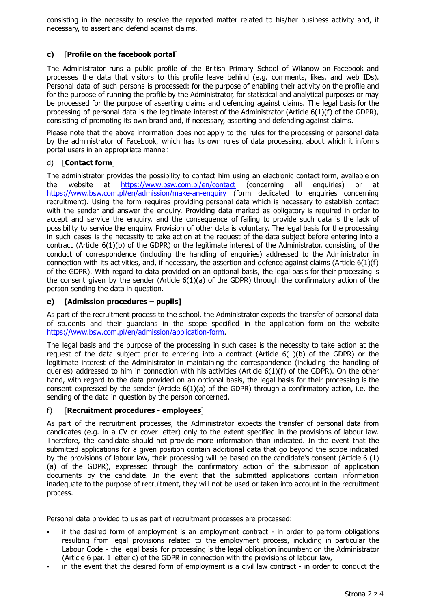consisting in the necessity to resolve the reported matter related to his/her business activity and, if necessary, to assert and defend against claims.

# **c)** [**Profile on the facebook portal**]

The Administrator runs a public profile of the British Primary School of Wilanow on Facebook and processes the data that visitors to this profile leave behind (e.g. comments, likes, and web IDs). Personal data of such persons is processed: for the purpose of enabling their activity on the profile and for the purpose of running the profile by the Administrator, for statistical and analytical purposes or may be processed for the purpose of asserting claims and defending against claims. The legal basis for the processing of personal data is the legitimate interest of the Administrator (Article 6(1)(f) of the GDPR), consisting of promoting its own brand and, if necessary, asserting and defending against claims.

Please note that the above information does not apply to the rules for the processing of personal data by the administrator of Facebook, which has its own rules of data processing, about which it informs portal users in an appropriate manner.

## d) [**Contact form**]

The administrator provides the possibility to contact him using an electronic contact form, available on the website at <https://www.bsw.com.pl/en/contact> (concerning all enquiries) or at <https://www.bsw.com.pl/en/admission/make-an-enquiry> (form dedicated to enquiries concerning recruitment). Using the form requires providing personal data which is necessary to establish contact with the sender and answer the enquiry. Providing data marked as obligatory is required in order to accept and service the enquiry, and the consequence of failing to provide such data is the lack of possibility to service the enquiry. Provision of other data is voluntary. The legal basis for the processing in such cases is the necessity to take action at the request of the data subject before entering into a contract (Article 6(1)(b) of the GDPR) or the legitimate interest of the Administrator, consisting of the conduct of correspondence (including the handling of enquiries) addressed to the Administrator in connection with its activities, and, if necessary, the assertion and defence against claims (Article  $6(1)(f)$ of the GDPR). With regard to data provided on an optional basis, the legal basis for their processing is the consent given by the sender (Article  $6(1)(a)$  of the GDPR) through the confirmatory action of the person sending the data in question.

## **e) [Admission procedures – pupils]**

As part of the recruitment process to the school, the Administrator expects the transfer of personal data of students and their guardians in the scope specified in the application form on the website <https://www.bsw.com.pl/en/admission/application-form>.

The legal basis and the purpose of the processing in such cases is the necessity to take action at the request of the data subject prior to entering into a contract (Article 6(1)(b) of the GDPR) or the legitimate interest of the Administrator in maintaining the correspondence (including the handling of queries) addressed to him in connection with his activities (Article  $6(1)(f)$  of the GDPR). On the other hand, with regard to the data provided on an optional basis, the legal basis for their processing is the consent expressed by the sender (Article  $6(1)(a)$  of the GDPR) through a confirmatory action, i.e. the sending of the data in question by the person concerned.

## f) [**Recruitment procedures - employees**]

As part of the recruitment processes, the Administrator expects the transfer of personal data from candidates (e.g. in a CV or cover letter) only to the extent specified in the provisions of labour law. Therefore, the candidate should not provide more information than indicated. In the event that the submitted applications for a given position contain additional data that go beyond the scope indicated by the provisions of labour law, their processing will be based on the candidate's consent (Article 6 (1) (a) of the GDPR), expressed through the confirmatory action of the submission of application documents by the candidate. In the event that the submitted applications contain information inadequate to the purpose of recruitment, they will not be used or taken into account in the recruitment process.

Personal data provided to us as part of recruitment processes are processed:

- if the desired form of employment is an employment contract in order to perform obligations resulting from legal provisions related to the employment process, including in particular the Labour Code - the legal basis for processing is the legal obligation incumbent on the Administrator (Article 6 par. 1 letter c) of the GDPR in connection with the provisions of labour law,
- in the event that the desired form of employment is a civil law contract in order to conduct the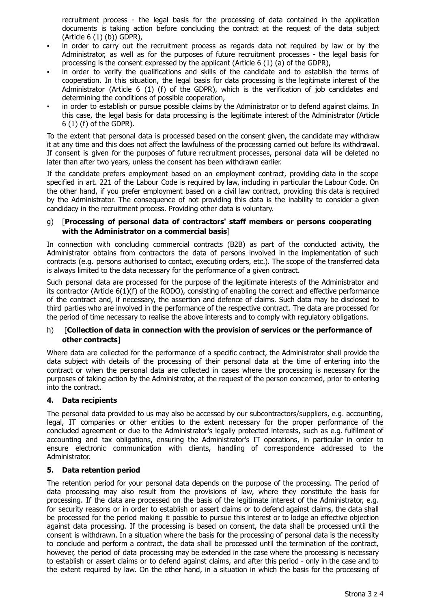recruitment process - the legal basis for the processing of data contained in the application documents is taking action before concluding the contract at the request of the data subject (Article 6 (1) (b)) GDPR),

- in order to carry out the recruitment process as regards data not required by law or by the Administrator, as well as for the purposes of future recruitment processes - the legal basis for processing is the consent expressed by the applicant (Article 6 (1) (a) of the GDPR),
- in order to verify the qualifications and skills of the candidate and to establish the terms of cooperation. In this situation, the legal basis for data processing is the legitimate interest of the Administrator (Article 6 (1) (f) of the GDPR), which is the verification of job candidates and determining the conditions of possible cooperation,
- in order to establish or pursue possible claims by the Administrator or to defend against claims. In this case, the legal basis for data processing is the legitimate interest of the Administrator (Article 6 (1) (f) of the GDPR).

To the extent that personal data is processed based on the consent given, the candidate may withdraw it at any time and this does not affect the lawfulness of the processing carried out before its withdrawal. If consent is given for the purposes of future recruitment processes, personal data will be deleted no later than after two years, unless the consent has been withdrawn earlier.

If the candidate prefers employment based on an employment contract, providing data in the scope specified in art. 221 of the Labour Code is required by law, including in particular the Labour Code. On the other hand, if you prefer employment based on a civil law contract, providing this data is required by the Administrator. The consequence of not providing this data is the inability to consider a given candidacy in the recruitment process. Providing other data is voluntary.

### g) [**Processing of personal data of contractors' staff members or persons cooperating with the Administrator on a commercial basis**]

In connection with concluding commercial contracts (B2B) as part of the conducted activity, the Administrator obtains from contractors the data of persons involved in the implementation of such contracts (e.g. persons authorised to contact, executing orders, etc.). The scope of the transferred data is always limited to the data necessary for the performance of a given contract.

Such personal data are processed for the purpose of the legitimate interests of the Administrator and its contractor (Article 6(1)(f) of the RODO), consisting of enabling the correct and effective performance of the contract and, if necessary, the assertion and defence of claims. Such data may be disclosed to third parties who are involved in the performance of the respective contract. The data are processed for the period of time necessary to realise the above interests and to comply with regulatory obligations.

### h) [**Collection of data in connection with the provision of services or the performance of other contracts**]

Where data are collected for the performance of a specific contract, the Administrator shall provide the data subject with details of the processing of their personal data at the time of entering into the contract or when the personal data are collected in cases where the processing is necessary for the purposes of taking action by the Administrator, at the request of the person concerned, prior to entering into the contract.

## **4. Data recipients**

The personal data provided to us may also be accessed by our subcontractors/suppliers, e.g. accounting, legal, IT companies or other entities to the extent necessary for the proper performance of the concluded agreement or due to the Administrator's legally protected interests, such as e.g. fulfilment of accounting and tax obligations, ensuring the Administrator's IT operations, in particular in order to ensure electronic communication with clients, handling of correspondence addressed to the Administrator.

## **5. Data retention period**

The retention period for your personal data depends on the purpose of the processing. The period of data processing may also result from the provisions of law, where they constitute the basis for processing. If the data are processed on the basis of the legitimate interest of the Administrator, e.g. for security reasons or in order to establish or assert claims or to defend against claims, the data shall be processed for the period making it possible to pursue this interest or to lodge an effective objection against data processing. If the processing is based on consent, the data shall be processed until the consent is withdrawn. In a situation where the basis for the processing of personal data is the necessity to conclude and perform a contract, the data shall be processed until the termination of the contract, however, the period of data processing may be extended in the case where the processing is necessary to establish or assert claims or to defend against claims, and after this period - only in the case and to the extent required by law. On the other hand, in a situation in which the basis for the processing of